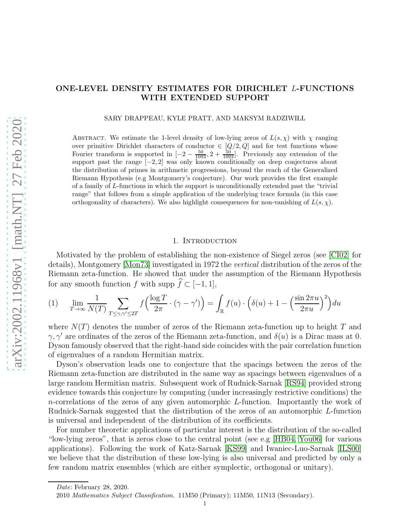# ONE-LEVEL DENSITY ESTIMATES FOR DIRICHLET L-FUNCTIONS WITH EXTENDED SUPPORT

SARY DRAPPEAU, KYLE PRATT, AND MAKSYM RADZIWIŁŁ

ABSTRACT. We estimate the 1-level density of low-lying zeros of  $L(s, \chi)$  with  $\chi$  ranging over primitive Dirichlet characters of conductor  $\in [Q/2, Q]$  and for test functions whose Fourier transform is supported in  $[-2 - \frac{50}{1093}, 2 + \frac{50}{1093}]$ . Previously any extension of the support past the range  $[-2, 2]$  was only known conditionally on deep conjectures about the distribution of primes in arithmetic progressions, beyond the reach of the Generalized Riemann Hypothesis (e.g Montgomery's conjecture). Our work provides the first example of a family of L-functions in which the support is unconditionally extended past the "trivial range" that follows from a simple application of the underlying trace formula (in this case orthogonality of characters). We also highlight consequences for non-vanishing of  $L(s, \chi)$ .

### 1. INTRODUCTION

Motivated by the problem of establishing the non-existence of Siegel zeros (see [\[CI02\]](#page-20-0) for details), Montgomery [\[Mon73\]](#page-21-0) investigated in 1972 the *vertical* distribution of the zeros of the Riemann zeta-function. He showed that under the assumption of the Riemann Hypothesis for any smooth function f with supp  $\widehat{f} \subset [-1, 1],$ 

<span id="page-0-0"></span>
$$
(1) \qquad \lim_{T \to \infty} \frac{1}{N(T)} \sum_{T \le \gamma, \gamma' \le 2T} f\left(\frac{\log T}{2\pi} \cdot (\gamma - \gamma')\right) = \int_{\mathbb{R}} f(u) \cdot \left(\delta(u) + 1 - \left(\frac{\sin 2\pi u}{2\pi u}\right)^2\right) du
$$

where  $N(T)$  denotes the number of zeros of the Riemann zeta-function up to height T and  $\gamma$ ,  $\gamma'$  are ordinates of the zeros of the Riemann zeta-function, and  $\delta(u)$  is a Dirac mass at 0. Dyson famously observed that the right-hand side coincides with the pair correlation function of eigenvalues of a random Hermitian matrix.

Dyson's observation leads one to conjecture that the spacings between the zeros of the Riemann zeta-function are distributed in the same way as spacings between eigenvalues of a large random Hermitian matrix. Subsequent work of Rudnick-Sarnak [\[RS94\]](#page-21-1) provided strong evidence towards this conjecture by computing (under increasingly restrictive conditions) the n-correlations of the zeros of any given automorphic L-function. Importantly the work of Rudnick-Sarnak suggested that the distribution of the zeros of an automorphic L-function is universal and independent of the distribution of its coefficients.

For number theoretic applications of particular interest is the distribution of the so-called "low-lying zeros", that is zeros close to the central point (see e.g [\[HB04,](#page-20-1) [You06\]](#page-21-2) for various applications). Following the work of Katz-Sarnak [\[KS99\]](#page-20-2) and Iwaniec-Luo-Sarnak [\[ILS00\]](#page-20-3) we believe that the distribution of these low-lying is also universal and predicted by only a few random matrix ensembles (which are either symplectic, orthogonal or unitary).

Date: February 28, 2020.

<sup>2010</sup> Mathematics Subject Classification. 11M50 (Primary); 11M50, 11N13 (Secondary).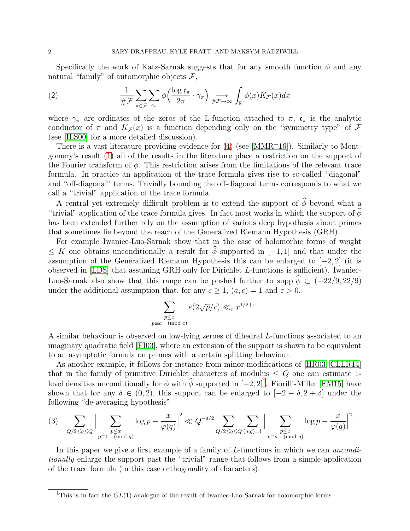Specifically the work of Katz-Sarnak suggests that for any smooth function  $\phi$  and any natural "family" of automorphic objects  $\mathcal{F},$ 

(2) 
$$
\frac{1}{\# \mathcal{F}} \sum_{\pi \in \mathcal{F}} \sum_{\gamma_{\pi}} \phi \left( \frac{\log \mathfrak{c}_{\pi}}{2\pi} \cdot \gamma_{\pi} \right) \underset{\# \mathcal{F} \to \infty}{\longrightarrow} \int_{\mathbb{R}} \phi(x) K_{\mathcal{F}}(x) dx
$$

where  $\gamma_{\pi}$  are ordinates of the zeros of the L-function attached to  $\pi$ ,  $\mathfrak{c}_{\pi}$  is the analytic conductor of  $\pi$  and  $K_{\mathcal{F}}(x)$  is a function depending only on the "symmetry type" of  $\mathcal F$ (see [\[ILS00\]](#page-20-3) for a more detailed discussion).

There is a vast literature providing evidence for  $(4)$  (see [\[MMR](#page-21-3)+16]). Similarly to Montgomery's result [\(1\)](#page-0-0) all of the results in the literature place a restriction on the support of the Fourier transform of  $\phi$ . This restriction arises from the limitations of the relevant trace formula. In practice an application of the trace formula gives rise to so-called "diagonal" and "off-diagonal" terms. Trivially bounding the off-diagonal terms corresponds to what we call a "trivial" application of the trace formula

A central yet extremely difficult problem is to extend the support of  $\widehat{\phi}$  beyond what a "trivial" application of the trace formula gives. In fact most works in which the support of  $\phi$ has been extended further rely on the assumption of various deep hypothesis about primes that sometimes lie beyond the reach of the Generalized Riemann Hypothesis (GRH).

For example Iwaniec-Luo-Sarnak show that in the case of holomorhic forms of weight  $\leq K$  one obtains unconditionally a result for  $\phi$  supported in [−1, 1] and that under the assumption of the Generalized Riemann Hypothesis this can be enlarged to  $[-2, 2]$  (it is observed in [\[LDS\]](#page-21-4) that assuming GRH only for Dirichlet L-functions is sufficient). Iwaniec-Luo-Sarnak also show that this range can be pushed further to supp  $\hat{\phi} \subset (-22/9, 22/9)$ under the additional assumption that, for any  $c \ge 1$ ,  $(a, c) = 1$  and  $\varepsilon > 0$ ,

$$
\sum_{\substack{p \le x \\ p \equiv a \pmod{c}}} e(2\sqrt{p}/c) \ll_{\varepsilon} x^{1/2 + \varepsilon}.
$$

A similar behaviour is observed on low-lying zeroes of dihedral L-functions associated to an imaginary quadratic field [\[FI03\]](#page-20-4), where an extension of the support is shown to be equivalent to an asymptotic formula on primes with a certain splitting behaviour.

As another example, it follows for instance from minor modifications of [\[HR03,](#page-20-5) [CLLR14\]](#page-20-6) that in the family of primitive Dirichlet characters of modulus  $\leq Q$  one can estimate 1level densities unconditionally for  $\phi$  with  $\phi$  supported in  $[-2, 2]^1$  $[-2, 2]^1$ . Fiorilli-Miller [\[FM15\]](#page-20-7) have shown that for any  $\delta \in (0, 2)$ , this support can be enlarged to  $[-2 - \delta, 2 + \delta]$  under the following "de-averaging hypothesis"

<span id="page-1-1"></span>
$$
(3) \sum_{Q/2 \leq q \leq Q} \Big| \sum_{\substack{p \leq x \\ p \equiv 1 \pmod{q}}} \log p - \frac{x}{\varphi(q)} \Big|^2 \ll Q^{-\delta/2} \sum_{Q/2 \leq q \leq Q} \sum_{(a,q)=1} \Big| \sum_{\substack{p \leq x \\ p \equiv a \pmod{q}}} \log p - \frac{x}{\varphi(q)} \Big|^2.
$$

In this paper we give a first example of a family of L-functions in which we can *unconditionally* enlarge the support past the "trivial" range that follows from a simple application of the trace formula (in this case orthogonality of characters).

<span id="page-1-0"></span><sup>&</sup>lt;sup>1</sup>This is in fact the  $GL(1)$  analogue of the result of Iwaniec-Luo-Sarnak for holomorphic forms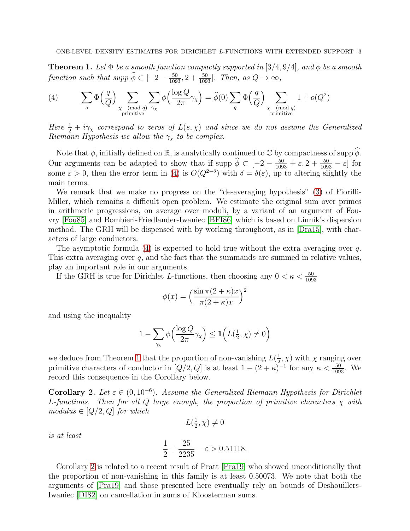<span id="page-2-1"></span>**Theorem 1.** Let  $\Phi$  *be a smooth function compactly supported in* [3/4, 9/4]*, and*  $\phi$  *be a smooth function such that supp*  $\hat{\phi} \subset [-2 - \frac{50}{1093}, 2 + \frac{50}{1093}]$ *. Then, as*  $Q \to \infty$ *,* 

<span id="page-2-0"></span>(4) 
$$
\sum_{q} \Phi\left(\frac{q}{Q}\right) \sum_{\substack{\chi \pmod{q} \\ \text{primitive}}} \sum_{\gamma_{\chi}} \phi\left(\frac{\log Q}{2\pi} \gamma_{\chi}\right) = \widehat{\phi}(0) \sum_{q} \Phi\left(\frac{q}{Q}\right) \sum_{\substack{\chi \pmod{q} \\ \text{primitive}}} 1 + o(Q^2)
$$

*Here*  $\frac{1}{2} + i\gamma_{\chi}$  *correspond to zeros of*  $L(s, \chi)$  *and since we do not assume the Generalized Riemann Hypothesis we allow the*  $\gamma_{\chi}$  *to be complex.* 

Note that  $\phi$ , initially defined on  $\mathbb{R}$ , is analytically continued to  $\mathbb{C}$  by compactness of supp  $\widehat{\phi}$ . Our arguments can be adapted to show that if supp  $\phi \subset [-2 - \frac{50}{1093} + \varepsilon, 2 + \frac{50}{1093} - \varepsilon]$  for some  $\varepsilon > 0$ , then the error term in [\(4\)](#page-2-0) is  $O(Q^{2-\delta})$  with  $\delta = \delta(\varepsilon)$ , up to altering slightly the main terms.

We remark that we make no progress on the "de-averaging hypothesis" [\(3\)](#page-1-1) of Fiorilli-Miller, which remains a difficult open problem. We estimate the original sum over primes in arithmetic progressions, on average over moduli, by a variant of an argument of Fouvry [\[Fou85\]](#page-20-8) and Bombieri-Friedlander-Iwaniec [\[BFI86\]](#page-20-9) which is based on Linnik's dispersion method. The GRH will be dispensed with by working throughout, as in [\[Dra15\]](#page-20-10), with characters of large conductors.

The asymptotic formula [\(4\)](#page-2-0) is expected to hold true without the extra averaging over q. This extra averaging over  $q$ , and the fact that the summands are summed in relative values, play an important role in our arguments.

If the GRH is true for Dirichlet L-functions, then choosing any  $0 < \kappa < \frac{50}{1093}$ 

$$
\phi(x) = \left(\frac{\sin \pi (2 + \kappa)x}{\pi (2 + \kappa)x}\right)^2
$$

and using the inequality

$$
1 - \sum_{\gamma_{\chi}} \phi\left(\frac{\log Q}{2\pi} \gamma_{\chi}\right) \le 1\left(L(\tfrac{1}{2}, \chi) \neq 0\right)
$$

we deduce from Theorem [1](#page-2-1) that the proportion of non-vanishing  $L(\frac{1}{2})$  $(\frac{1}{2}, \chi)$  with  $\chi$  ranging over primitive characters of conductor in  $[Q/2, Q]$  is at least  $1 - (2 + \kappa)^{-1}$  for any  $\kappa < \frac{50}{1093}$ . We record this consequence in the Corollary below.

<span id="page-2-2"></span>Corollary 2. Let  $\varepsilon \in (0, 10^{-6})$ . Assume the Generalized Riemann Hypothesis for Dirichlet L-functions. Then for all  $Q$  *large enough, the proportion of primitive characters*  $\chi$  *with*  $modulus \in [Q/2, Q]$  *for which* 

$$
L(\tfrac{1}{2}, \chi) \neq 0
$$

*is at least*

$$
\frac{1}{2} + \frac{25}{2235} - \varepsilon > 0.51118.
$$

Corollary [2](#page-2-2) is related to a recent result of Pratt [\[Pra19\]](#page-21-5) who showed unconditionally that the proportion of non-vanishing in this family is at least 0.50073. We note that both the arguments of [\[Pra19\]](#page-21-5) and those presented here eventually rely on bounds of Deshouillers-Iwaniec [\[DI82\]](#page-20-11) on cancellation in sums of Kloosterman sums.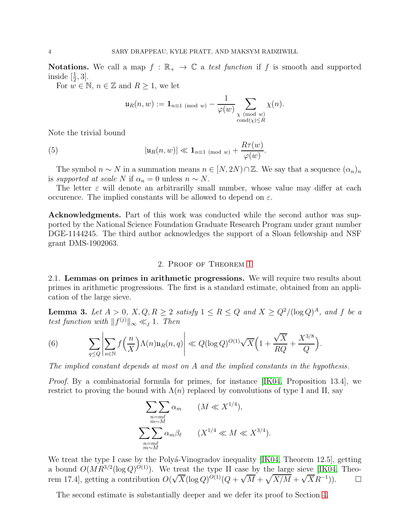Notations. We call a map  $f : \mathbb{R}_+ \to \mathbb{C}$  a *test function* if f is smooth and supported inside  $\left[\frac{1}{2},3\right]$ .

For  $w \in \mathbb{N}$ ,  $n \in \mathbb{Z}$  and  $R \geq 1$ , we let

<span id="page-3-0"></span>
$$
\mathfrak{u}_R(n,w) := \mathbf{1}_{n \equiv 1 \pmod{w}} - \frac{1}{\varphi(w)} \sum_{\substack{\chi \pmod{w} \\ \operatorname{cond}(\chi) \leq R}} \chi(n).
$$

Note the trivial bound

(5) 
$$
|\mathfrak{u}_R(n,w)| \ll \mathbf{1}_{n \equiv 1 \pmod{w}} + \frac{R\tau(w)}{\varphi(w)}.
$$

The symbol  $n \sim N$  in a summation means  $n \in [N, 2N) \cap \mathbb{Z}$ . We say that a sequence  $(\alpha_n)_n$ is *supported at scale* N if  $\alpha_n = 0$  unless  $n \sim N$ .

The letter  $\varepsilon$  will denote an arbitrarilly small number, whose value may differ at each occurence. The implied constants will be allowed to depend on  $\varepsilon$ .

Acknowledgments. Part of this work was conducted while the second author was supported by the National Science Foundation Graduate Research Program under grant number DGE-1144245. The third author acknowledges the support of a Sloan fellowship and NSF grant DMS-1902063.

#### 2. Proof of Theorem [1](#page-2-1)

2.1. Lemmas on primes in arithmetic progressions. We will require two results about primes in arithmetic progressions. The first is a standard estimate, obtained from an application of the large sieve.

**Lemma 3.** Let  $A > 0$ ,  $X, Q, R \geq 2$  *satisfy*  $1 \leq R \leq Q$  *and*  $X \geq Q^2/(\log Q)^A$ *, and* f *be a test function with*  $||f^{(j)}||_{\infty} \ll_j 1$ . Then

<span id="page-3-1"></span>(6) 
$$
\sum_{q\leq Q} \left| \sum_{n\in \mathbb{N}} f\left(\frac{n}{X}\right) \Lambda(n) \mathfrak{u}_R(n,q) \right| \ll Q(\log Q)^{O(1)} \sqrt{X} \Big(1 + \frac{\sqrt{X}}{RQ} + \frac{X^{3/8}}{Q}\Big).
$$

*The implied constant depends at most on* A *and the implied constants in the hypothesis.*

*Proof.* By a combinatorial formula for primes, for instance [\[IK04,](#page-20-12) Proposition 13.4], we restrict to proving the bound with  $\Lambda(n)$  replaced by convolutions of type I and II, say

$$
\sum_{\substack{n=m\ell\\m\sim M}} \sum_{\substack{m\sim M\\n\equiv m\ell\\m\sim M}} \alpha_m \qquad (M \ll X^{1/4}),
$$

We treat the type I case by the Polyá-Vinogradov inequality  $[IK04, Theorem 12.5]$ , getting a bound  $O(MR^{3/2}(\log Q)^{O(1)})$ . We treat the type II case by the large sieve [\[IK04,](#page-20-12) Theorem 17.4], getting a contribution  $O(\sqrt{X}(\log Q)^{O(1)}(Q + \sqrt{M} + \sqrt{X/M} + \sqrt{X}R^{-1}))$ .

The second estimate is substantially deeper and we defer its proof to Section [4.](#page-8-0)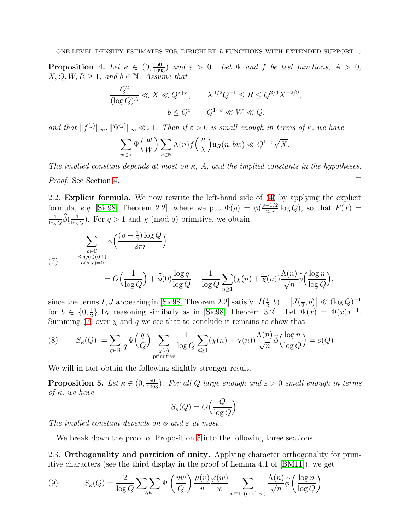<span id="page-4-3"></span>**Proposition 4.** Let  $\kappa \in (0, \frac{50}{1093})$  and  $\varepsilon > 0$ . Let  $\Psi$  and  $f$  be test functions,  $A > 0$ ,  $X, Q, W, R \geq 1$ , and  $b \in \mathbb{N}$ . Assume that

$$
\frac{Q^2}{(\log Q)^A} \ll X \ll Q^{2+\kappa}, \qquad X^{1/2}Q^{-1} \le R \le Q^{2/3}X^{-2/9},
$$
  

$$
b \le Q^{\varepsilon} \qquad Q^{1-\varepsilon} \ll W \ll Q,
$$

*and that*  $||f^{(j)}||_{\infty}, ||\Psi^{(j)}||_{\infty} \ll_j 1$ . Then if  $\varepsilon > 0$  is small enough in terms of  $\kappa$ , we have

$$
\sum_{w\in \mathbb{N}} \Psi\Big(\frac{w}{W}\Big) \sum_{n\in \mathbb{N}} \Lambda(n) f\Big(\frac{n}{X}\Big) \mathfrak{u}_R(n,bw) \ll Q^{1-\varepsilon} \sqrt{X}.
$$

*The implied constant depends at most on* κ*,* A*, and the implied constants in the hypotheses.*

*Proof.* See Section [4.](#page-8-0) □

2.2. Explicit formula. We now rewrite the left-hand side of [\(4\)](#page-2-0) by applying the explicit formula, *e.g.* [\[Sic98,](#page-21-6) Theorem 2.2], where we put  $\Phi(\rho) = \phi(\frac{\rho-1/2}{2\pi i} \log Q)$ , so that  $F(x) =$ 1  $\frac{1}{\log Q}\widetilde{\phi}(\frac{1}{\log$  $\frac{1}{\log Q}$ ). For  $q > 1$  and  $\chi \pmod{q}$  primitive, we obtain

<span id="page-4-0"></span>(7) 
$$
\sum_{\substack{\rho \in \mathbb{C} \\ \text{Re}(\rho) \in (0,1) \\ L(\rho,\chi) = 0}} \phi\left(\frac{(\rho - \frac{1}{2}) \log Q}{2\pi i}\right)
$$

$$
= O\left(\frac{1}{\log Q}\right) + \widehat{\phi}(0) \frac{\log q}{\log Q} - \frac{1}{\log Q} \sum_{n \ge 1} (\chi(n) + \overline{\chi}(n)) \frac{\Lambda(n)}{\sqrt{n}} \widehat{\phi}\left(\frac{\log n}{\log Q}\right),
$$

since the terms I, J appearing in [\[Sic98,](#page-21-6) Theorem 2.2] satisfy  $|I(\frac{1}{2})|$  $\frac{1}{2}$ , b)  $|+|J(\frac{1}{2})$  $\left| \frac{1}{2}, b \right| \ll (\log Q)^{-1}$ for  $b \in \{0, \frac{1}{2} \}$  $\frac{1}{2}$  by reasoning similarly as in [\[Sic98,](#page-21-6) Theorem 3.2]. Let  $\Psi(x) = \Phi(x)x^{-1}$ . Summing  $(7)$  over  $\chi$  and q we see that to conclude it remains to show that

(8) 
$$
S_{\kappa}(Q) := \sum_{q \in \mathbb{N}} \frac{1}{q} \Psi\left(\frac{q}{Q}\right) \sum_{\substack{\chi(q) \\ \text{primitive}}} \frac{1}{\log Q} \sum_{n \ge 1} (\chi(n) + \overline{\chi}(n)) \frac{\Lambda(n)}{\sqrt{n}} \widehat{\phi}\left(\frac{\log n}{\log Q}\right) = o(Q)
$$

We will in fact obtain the following slightly stronger result.

<span id="page-4-1"></span>**Proposition 5.** Let  $\kappa \in (0, \frac{50}{1093})$ . For all Q large enough and  $\varepsilon > 0$  small enough in terms *of* κ*, we have*

$$
S_{\kappa}(Q) = O\left(\frac{Q}{\log Q}\right).
$$

The implied constant depends on  $\phi$  and  $\varepsilon$  at most.

We break down the proof of Proposition [5](#page-4-1) into the following three sections.

2.3. Orthogonality and partition of unity. Applying character orthogonality for primitive characters (see the third display in the proof of Lemma 4.1 of [\[BM11\]](#page-20-13)), we get

<span id="page-4-2"></span>(9) 
$$
S_{\kappa}(Q) = \frac{2}{\log Q} \sum_{v,w} \Psi\left(\frac{vw}{Q}\right) \frac{\mu(v)}{v} \frac{\varphi(w)}{w} \sum_{n \equiv 1 \pmod{w}} \frac{\Lambda(n)}{\sqrt{n}} \widehat{\phi}\left(\frac{\log n}{\log Q}\right).
$$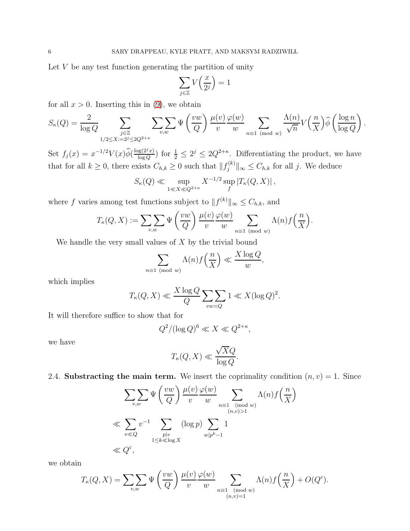Let  $V$  be any test function generating the partition of unity

$$
\sum_{j\in\mathbb{Z}}V\Big(\frac{x}{2^j}\Big)=1
$$

for all  $x > 0$ . Inserting this in [\(9\)](#page-4-2), we obtain

$$
S_{\kappa}(Q) = \frac{2}{\log Q} \sum_{\substack{j \in \mathbb{Z} \\ 1/2 \le X := 2^j \le 2Q^{2+\kappa}}} \sum_{v,w} \sum_{w,w} \Psi\left(\frac{vw}{Q}\right) \frac{\mu(v)}{v} \frac{\varphi(w)}{w} \sum_{n \equiv 1 \pmod{w}} \frac{\Lambda(n)}{\sqrt{n}} V\left(\frac{n}{X}\right) \widehat{\phi}\left(\frac{\log n}{\log Q}\right).
$$

Set  $f_j(x) = x^{-1/2} V(x) \widehat{\phi}(\frac{\log(2^j x)}{\log Q})$  $\frac{\log(2^j x)}{\log Q}$  for  $\frac{1}{2} \leq 2^j \leq 2Q^{2+\kappa}$ . Differentiating the product, we have that for all  $k \geq 0$ , there exists  $C_{h,k} \geq 0$  such that  $||f_j^{(k)}||$  $\|y_j^{(k)}\|_{\infty} \leq C_{h,k}$  for all j. We deduce

$$
S_{\kappa}(Q) \ll \sup_{1 \ll X \ll Q^{2+\kappa}} X^{-1/2} \sup_{f} |T_{\kappa}(Q, X)|,
$$

where f varies among test functions subject to  $||f^{(k)}||_{\infty} \leq C_{h,k}$ , and

$$
T_{\kappa}(Q, X) := \sum_{v,w} \sum_{w} \Psi\left(\frac{vw}{Q}\right) \frac{\mu(v)}{v} \frac{\varphi(w)}{w} \sum_{n \equiv 1 \pmod{w}} \Lambda(n) f\left(\frac{n}{X}\right).
$$

We handle the very small values of  $X$  by the trivial bound

$$
\sum_{n\equiv 1\pmod{w}} \Lambda(n) f\left(\frac{n}{X}\right) \ll \frac{X \log Q}{w},
$$

which implies

$$
T_{\kappa}(Q, X) \ll \frac{X \log Q}{Q} \sum_{vw \asymp Q} 1 \ll X (\log Q)^2.
$$

It will therefore suffice to show that for

$$
Q^2/(\log Q)^6 \ll X \ll Q^{2+\kappa},
$$

we have

$$
T_{\kappa}(Q, X) \ll \frac{\sqrt{X}Q}{\log Q}.
$$

2.4. Substracting the main term. We insert the coprimality condition  $(n, v) = 1$ . Since

$$
\sum_{v,w} \sum_{w} \Psi\left(\frac{vw}{Q}\right) \frac{\mu(v)}{v} \frac{\varphi(w)}{w} \sum_{n \equiv 1 \pmod{w}} \Lambda(n) f\left(\frac{n}{X}\right)
$$
  

$$
\ll \sum_{v \ll Q} v^{-1} \sum_{\substack{p|v\\1 \le k \ll \log X}} (\log p) \sum_{w|p^k - 1} 1
$$
  

$$
\ll Q^{\varepsilon},
$$

we obtain

$$
T_{\kappa}(Q, X) = \sum_{v,w} \sum_{w} \Psi\left(\frac{vw}{Q}\right) \frac{\mu(v)}{v} \frac{\varphi(w)}{w} \sum_{\substack{n \equiv 1 \pmod{w} \\ (n,v)=1}} \Lambda(n) f\left(\frac{n}{X}\right) + O(Q^{\varepsilon}).
$$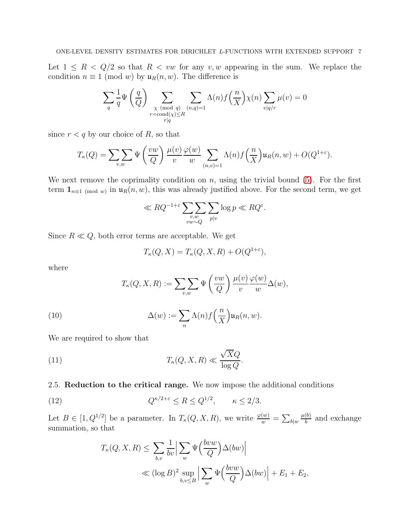Let  $1 \leq R < Q/2$  so that  $R < vw$  for any  $v, w$  appearing in the sum. We replace the condition  $n \equiv 1 \pmod{w}$  by  $\mathfrak{u}_R(n, w)$ . The difference is

$$
\sum_{q} \frac{1}{q} \Psi\left(\frac{q}{Q}\right) \sum_{\substack{\chi \pmod{q} \\ r \equiv \text{cond}(\chi) \le R}} \sum_{\substack{(n,q)=1 \\ r|q}} \Lambda(n) f\left(\frac{n}{X}\right) \chi(n) \sum_{v|q/r} \mu(v) = 0
$$

since  $r < q$  by our choice of R, so that

$$
T_{\kappa}(Q) = \sum_{v,w} \Psi\left(\frac{vw}{Q}\right) \frac{\mu(v)}{v} \frac{\varphi(w)}{w} \sum_{(n,v)=1} \Lambda(n) f\left(\frac{n}{X}\right) \mathfrak{u}_R(n,w) + O(Q^{1+\varepsilon}).
$$

We next remove the coprimality condition on  $n$ , using the trivial bound  $(5)$ . For the first term  $\mathbf{1}_{n=1 \pmod{w}}$  in  $\mathfrak{u}_R(n, w)$ , this was already justified above. For the second term, we get

$$
\ll RQ^{-1+\varepsilon} \sum_{\substack{v,w\\vw\sim Q}} \sum_{p|v} \log p \ll RQ^{\varepsilon}.
$$

Since  $R \ll Q$ , both error terms are acceptable. We get

$$
T_{\kappa}(Q, X) = T_{\kappa}(Q, X, R) + O(Q^{1+\varepsilon}),
$$

where

<span id="page-6-1"></span>
$$
T_{\kappa}(Q, X, R) := \sum_{v,w} \Psi\left(\frac{vw}{Q}\right) \frac{\mu(v)}{v} \frac{\varphi(w)}{w} \Delta(w),
$$

(10) 
$$
\Delta(w) := \sum_{n} \Lambda(n) f\left(\frac{n}{X}\right) \mathfrak{u}_R(n, w).
$$

We are required to show that

(11) 
$$
T_{\kappa}(Q, X, R) \ll \frac{\sqrt{X}Q}{\log Q}.
$$

## 2.5. Reduction to the critical range. We now impose the additional conditions

(12) 
$$
Q^{\kappa/2+\varepsilon} \le R \le Q^{1/2}, \qquad \kappa \le 2/3.
$$

Let  $B \in [1, Q^{1/2}]$  be a parameter. In  $T_{\kappa}(Q, X, R)$ , we write  $\frac{\varphi(w)}{w} = \sum_{b \mid w}$  $\mu(b)$  $\frac{10}{b}$  and exchange summation, so that

<span id="page-6-0"></span>
$$
T_{\kappa}(Q, X, R) \leq \sum_{b,v} \frac{1}{bv} \Big| \sum_{w} \Psi\Big(\frac{bvw}{Q}\Big) \Delta(bw) \Big|
$$
  

$$
\ll (\log B)^2 \sup_{b,v \leq B} \Big| \sum_{w} \Psi\Big(\frac{bvw}{Q}\Big) \Delta(bw) \Big| + E_1 + E_2,
$$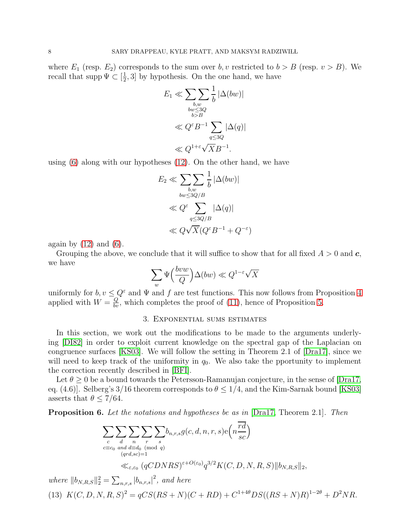where  $E_1$  (resp.  $E_2$ ) corresponds to the sum over b, v restricted to  $b > B$  (resp.  $v > B$ ). We recall that supp  $\Psi \subset [\frac{1}{2}]$  $\frac{1}{2}$ , 3] by hypothesis. On the one hand, we have

$$
E_1 \ll \sum_{\substack{b,w \ \text{but} \le 3Q \\ \text{but} \le 3Q \\ b > B}} \frac{1}{b} |\Delta(bw)|
$$

$$
\ll Q^{\varepsilon} B^{-1} \sum_{q \le 3Q} |\Delta(q)|
$$

$$
\ll Q^{1+\varepsilon} \sqrt{X} B^{-1}.
$$

using [\(6\)](#page-3-1) along with our hypotheses [\(12\)](#page-6-0). On the other hand, we have

$$
E_2 \ll \sum_{\substack{b,w \ bw \le 3Q/B}} \frac{1}{b} |\Delta(bw)|
$$
  

$$
\ll Q^{\varepsilon} \sum_{q \le 3Q/B} |\Delta(q)|
$$
  

$$
\ll Q\sqrt{X}(Q^{\varepsilon}B^{-1} + Q^{-\varepsilon})
$$

again by  $(12)$  and  $(6)$ .

Grouping the above, we conclude that it will suffice to show that for all fixed  $A > 0$  and  $c$ , we have

$$
\sum_{w} \Psi\left(\frac{b v w}{Q}\right) \Delta(b w) \ll Q^{1-\varepsilon} \sqrt{X}
$$

uniformly for  $b, v \leq Q^{\varepsilon}$  and  $\Psi$  and f are test functions. This now follows from Proposition [4](#page-4-3) applied with  $W = \frac{Q}{bv}$ , which completes the proof of [\(11\)](#page-6-1), hence of Proposition [5.](#page-4-1)

### 3. Exponential sums estimates

In this section, we work out the modifications to be made to the arguments underlying [\[DI82\]](#page-20-11) in order to exploit current knowledge on the spectral gap of the Laplacian on congruence surfaces [\[KS03\]](#page-21-7). We will follow the setting in Theorem 2.1 of [\[Dra17\]](#page-20-14), since we will need to keep track of the uniformity in  $q_0$ . We also take the pportunity to implement the correction recently described in [\[BFI\]](#page-20-15).

Let  $\theta > 0$  be a bound towards the Petersson-Ramanujan conjecture, in the sense of [\[Dra17,](#page-20-14) eq. (4.6). Selberg's 3/16 theorem corresponds to  $\theta \leq 1/4$ , and the Kim-Sarnak bound [\[KS03\]](#page-21-7) asserts that  $\theta \leq 7/64$ .

<span id="page-7-0"></span>Proposition 6. *Let the notations and hypotheses be as in* [\[Dra17,](#page-20-14) Theorem 2.1]*. Then*

$$
\sum_{c} \sum_{d} \sum_{n} \sum_{r} \sum_{s} b_{n,r,s} g(c,d,n,r,s) e\left(n \frac{rd}{sc}\right)
$$
  

$$
\sum_{c \equiv c_0 \text{ and } d \equiv d_0 \pmod{q} \atop (qrd,sc)=1} \sum_{\{\epsilon,\epsilon_0} \left(qCDNRS\right)^{\epsilon+O(\epsilon_0)} q^{3/2} K(C,D,N,R,S) \|b_{N,R,S}\|_2,
$$

<span id="page-7-1"></span>*where*  $||b_{N,R,S}||_2^2 = \sum_{n,r,s} |b_{n,r,s}|^2$ , and here (13)  $K(C, D, N, R, S)^2 = qCS(RS + N)(C + RD) + C^{1+4\theta}DS((RS + N)R)^{1-2\theta} + D^2NR$ .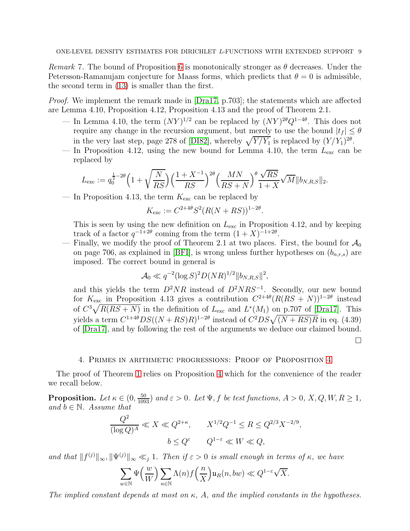*Remark* 7. The bound of Proposition [6](#page-7-0) is monotonically stronger as  $\theta$  decreases. Under the Petersson-Ramanujam conjecture for Maass forms, which predicts that  $\theta = 0$  is admissible, the second term in [\(13\)](#page-7-1) is smaller than the first.

*Proof.* We implement the remark made in [\[Dra17,](#page-20-14) p.703]; the statements which are affected are Lemma 4.10, Proposition 4.12, Proposition 4.13 and the proof of Theorem 2.1.

- In Lemma 4.10, the term  $(NY)^{1/2}$  can be replaced by  $(NY)^{2\theta}Q^{1-4\theta}$ . This does not require any change in the recursion argument, but merely to use the bound  $|t_f| \leq \theta$ in the very last step, page 278 of [\[DI82\]](#page-20-11), whereby  $\sqrt{Y/Y_1}$  is replaced by  $(Y/Y_1)^{2\theta}$ .
- In Proposition 4.12, using the new bound for Lemma 4.10, the term  $L_{\text{exc}}$  can be replaced by

$$
L_{\rm exc} := q_0^{\frac{1}{2} - 2\theta} \Big( 1 + \sqrt{\frac{N}{RS}} \Big) \Big( \frac{1 + X^{-1}}{RS} \Big)^{2\theta} \Big( \frac{MN}{RS + N} \Big)^{\theta} \frac{\sqrt{RS}}{1 + X} \sqrt{M} \| b_{N,R,S} \|_2.
$$

— In Proposition 4.13, the term  $K_{\text{exc}}$  can be replaced by

$$
K_{\text{exc}} := C^{2+4\theta} S^2 (R(N + RS))^{1-2\theta}.
$$

This is seen by using the new definition on  $L_{\text{exc}}$  in Proposition 4.12, and by keeping track of a factor  $q^{-1+2\theta}$  coming from the term  $(1+X)^{-1+2\theta}$ .

— Finally, we modify the proof of Theorem 2.1 at two places. First, the bound for  $\mathcal{A}_0$ on page 706, as explained in [\[BFI\]](#page-20-15), is wrong unless further hypotheses on  $(b_{n,r,s})$  are imposed. The correct bound in general is

$$
\mathcal{A}_0 \ll q^{-2} (\log S)^2 D(NR)^{1/2} ||b_{N,R,S}||^2,
$$

and this yields the term  $D^2NR$  instead of  $D^2NRS^{-1}$ . Secondly, our new bound for  $K_{\text{exc}}$  in Proposition 4.13 gives a contribution  $C^{2+4\theta}(R(RS+N))^{1-2\theta}$  instead of  $C^3\sqrt{R(RS+N)}$  in the definition of  $L_{\text{exc}}$  and  $L^*(M_1)$  on p.707 of [\[Dra17\]](#page-20-14). This yields a term  $C^{1+4\theta}DS((N+RS)R)^{1-2\theta}$  instead of  $C^2DS\sqrt{(N+RS)R}$  in eq. (4.39) of [\[Dra17\]](#page-20-14), and by following the rest of the arguments we deduce our claimed bound.  $\Box$ 

### 4. Primes in arithmetic progressions: Proof of Proposition [4](#page-4-3)

<span id="page-8-0"></span>The proof of Theorem [1](#page-2-1) relies on Proposition [4](#page-4-3) which for the convenience of the reader we recall below.

**Proposition.** Let  $\kappa \in (0, \frac{50}{1093})$  and  $\varepsilon > 0$ . Let  $\Psi$ , f be test functions,  $A > 0$ ,  $X$ ,  $Q$ ,  $W$ ,  $R \ge 1$ , *and*  $b \in \mathbb{N}$ *. Assume that* 

$$
\frac{Q^2}{(\log Q)^A} \ll X \ll Q^{2+\kappa}, \qquad X^{1/2}Q^{-1} \le R \le Q^{2/3}X^{-2/9},
$$
  

$$
b \le Q^{\varepsilon} \qquad Q^{1-\varepsilon} \ll W \ll Q,
$$

*and that*  $||f^{(j)}||_{\infty}, ||\Psi^{(j)}||_{\infty} \ll_j 1$ . Then if  $\varepsilon > 0$  is small enough in terms of  $\kappa$ , we have

$$
\sum_{w\in \mathbb{N}} \Psi\Big(\frac{w}{W}\Big) \sum_{n\in \mathbb{N}} \Lambda(n) f\Big(\frac{n}{X}\Big) \mathfrak{u}_R(n,bw) \ll Q^{1-\varepsilon} \sqrt{X}.
$$

*The implied constant depends at most on* κ*,* A*, and the implied constants in the hypotheses.*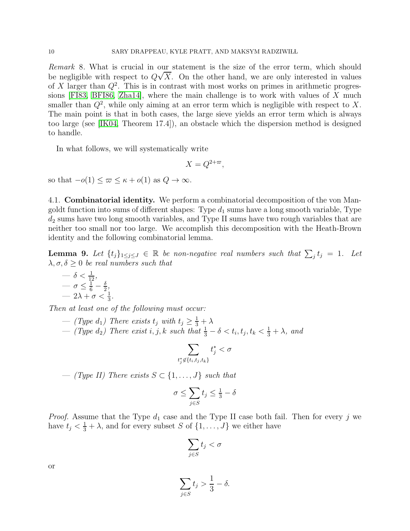*Remark* 8*.* What is crucial in our statement is the size of the error term, which should be negligible with respect to  $Q\sqrt{X}$ . On the other hand, we are only interested in values of X larger than  $Q^2$ . This is in contrast with most works on primes in arithmetic progres-sions [\[FI83,](#page-20-16) [BFI86,](#page-20-9) [Zha14\]](#page-21-8), where the main challenge is to work with values of  $X$  much smaller than  $Q^2$ , while only aiming at an error term which is negligible with respect to X. The main point is that in both cases, the large sieve yields an error term which is always too large (see [\[IK04,](#page-20-12) Theorem 17.4]), an obstacle which the dispersion method is designed to handle.

In what follows, we will systematically write

$$
X = Q^{2+\varpi},
$$

so that  $-o(1) \leq \varpi \leq \kappa + o(1)$  as  $Q \to \infty$ .

4.1. Combinatorial identity. We perform a combinatorial decomposition of the von Mangoldt function into sums of different shapes: Type  $d_1$  sums have a long smooth variable, Type  $d_2$  sums have two long smooth variables, and Type II sums have two rough variables that are neither too small nor too large. We accomplish this decomposition with the Heath-Brown identity and the following combinatorial lemma.

<span id="page-9-0"></span>**Lemma 9.** Let  $\{t_j\}_{1\leq j\leq J} \in \mathbb{R}$  be non-negative real numbers such that  $\sum_j t_j = 1$ . Let  $\lambda, \sigma, \delta \geq 0$  *be real numbers such that* 

$$
- \delta < \frac{1}{12},
$$
  
\n
$$
- \sigma \leq \frac{1}{6} - \frac{\delta}{2},
$$
  
\n
$$
- 2\lambda + \sigma < \frac{1}{3}.
$$

*Then at least one of the following must occur:*

 $-$  *(Type d<sub>1</sub>)* There exists  $t_j$  with  $t_j \geq \frac{1}{3} + \lambda$  $−$  (Type d<sub>2</sub>) There exist i, j, k such that  $\frac{1}{3} - \delta < t_i, t_j, t_k < \frac{1}{3} + \lambda$ , and

$$
\sum_{t_j^*\not\in \{t_i,t_j,t_k\}} t_j^* < \sigma
$$

 $−$  *(Type II)* There exists  $S \subset \{1, \ldots, J\}$  such that

$$
\sigma \le \sum_{j \in S} t_j \le \frac{1}{3} - \delta
$$

*Proof.* Assume that the Type  $d_1$  case and the Type II case both fail. Then for every j we have  $t_j < \frac{1}{3} + \lambda$ , and for every subset S of  $\{1, \ldots, J\}$  we either have

$$
\sum_{j\in S} t_j < \sigma
$$

or

$$
\sum_{j\in S} t_j > \frac{1}{3} - \delta.
$$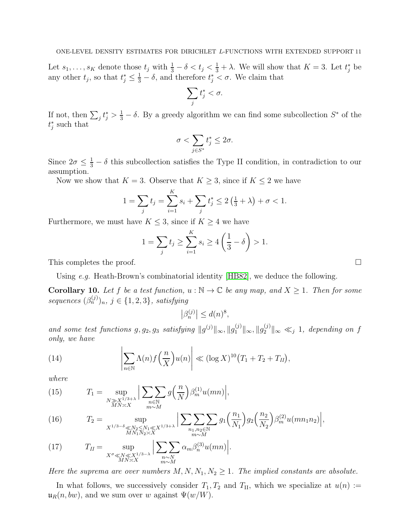Let  $s_1, \ldots, s_K$  denote those  $t_j$  with  $\frac{1}{3} - \delta < t_j < \frac{1}{3} + \lambda$ . We will show that  $K = 3$ . Let  $t_j^*$  be any other  $t_j$ , so that  $t_j^* \leq \frac{1}{3} - \delta$ , and therefore  $t_j^* < \sigma$ . We claim that

$$
\sum_j t_j^* < \sigma.
$$

If not, then  $\sum_j t_j^* > \frac{1}{3} - \delta$ . By a greedy algorithm we can find some subcollection  $S^*$  of the  $t_j^*$  such that

$$
\sigma < \sum_{j \in S^*} t_j^* \leq 2 \sigma.
$$

Since  $2\sigma \leq \frac{1}{3} - \delta$  this subcollection satisfies the Type II condition, in contradiction to our assumption.

Now we show that  $K = 3$ . Observe that  $K \geq 3$ , since if  $K \leq 2$  we have

$$
1 = \sum_{j} t_{j} = \sum_{i=1}^{K} s_{i} + \sum_{j} t_{j}^{*} \le 2 \left( \frac{1}{3} + \lambda \right) + \sigma < 1.
$$

Furthermore, we must have  $K \leq 3$ , since if  $K \geq 4$  we have

$$
1 = \sum_{j} t_j \ge \sum_{i=1}^{K} s_i \ge 4\left(\frac{1}{3} - \delta\right) > 1.
$$

This completes the proof.

Using *e.g.* Heath-Brown's combinatorial identity [\[HB82\]](#page-20-17), we deduce the following.

<span id="page-10-1"></span>**Corollary 10.** Let f be a test function,  $u : \mathbb{N} \to \mathbb{C}$  be any map, and  $X \geq 1$ . Then for some  $sequences (\beta_n^{(j)})_n, j \in \{1, 2, 3\}, satisfying$ 

$$
\left|\beta_n^{(j)}\right| \le d(n)^8,
$$

and some test functions  $g, g_2, g_3$  satisfying  $||g^{(j)}||_{\infty}, ||g_1^{(j)}||_{\infty}, ||g_2^{(j)}||_{\infty} \ll_j 1$ , depending on f *only, we have*

(14) 
$$
\left|\sum_{n\in\mathbb{N}}\Lambda(n)f\left(\frac{n}{X}\right)u(n)\right| \ll (\log X)^{10}\left(T_1+T_2+T_H\right),
$$

*where*

<span id="page-10-0"></span>(15) 
$$
T_1 = \sup_{\substack{N \gg X^{1/3+\lambda} \\ MN \asymp X}} \Big| \sum_{\substack{n \in \mathbb{N} \\ m \sim M}} g\Big(\frac{n}{N}\Big) \beta_m^{(1)} u(mn) \Big|,
$$

<span id="page-10-2"></span>(16) 
$$
T_2 = \sup_{X^{1/3-\delta} \ll N_2 \le N_1 \ll X^{1/3+\lambda} \atop MN_1N_2 \asymp X} \Big| \sum_{\substack{n_1, n_2 \in \mathbb{N} \\ m \sim M}} \sum_{g_1} \sum_{\substack{n_1, n_2 \in \mathbb{N} \\ m \sim M}} g_1 \left( \frac{n_1}{N_1} \right) g_2 \left( \frac{n_2}{N_2} \right) \beta_m^{(2)} u(mn_1n_2) \Big|,
$$

<span id="page-10-3"></span>(17) 
$$
T_{II} = \sup_{X^{\sigma} \ll N \ll X^{1/3-\lambda} \atop MN \asymp X} \Big| \sum_{\substack{n \sim N \\ m \sim M}} \alpha_m \beta_n^{(3)} u(mn) \Big|.
$$

*Here the suprema are over numbers*  $M, N, N_1, N_2 \geq 1$ *. The implied constants are absolute.* 

In what follows, we successively consider  $T_1, T_2$  and  $T_{II}$ , which we specialize at  $u(n) :=$  $\mathfrak{u}_R(n, bw)$ , and we sum over w against  $\Psi(w/W)$ .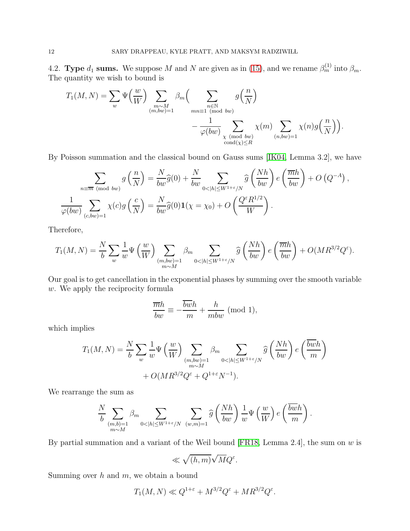4.2. Type  $d_1$  sums. We suppose M and N are given as in [\(15\)](#page-10-0), and we rename  $\beta_m^{(1)}$  into  $\beta_m$ . The quantity we wish to bound is

$$
T_1(M, N) = \sum_{w} \Psi\left(\frac{w}{W}\right) \sum_{\substack{m \sim M \\ (m, bw) = 1}} \beta_m\left(\sum_{\substack{n \in \mathbb{N} \\ mn \equiv 1 \pmod{bw}}} g\left(\frac{n}{N}\right) - \frac{1}{\varphi(bw)} \sum_{\substack{\chi \pmod{bw} \\ \text{cond}(\chi) \le R}} \chi(m) \sum_{\substack{(n, bw) = 1}} \chi(n) g\left(\frac{n}{N}\right)\right).
$$

By Poisson summation and the classical bound on Gauss sums [\[IK04,](#page-20-12) Lemma 3.2], we have

$$
\sum_{\substack{n \equiv \overline{m} \pmod{bw}} g\left(\frac{n}{N}\right) = \frac{N}{bw} \widehat{g}(0) + \frac{N}{bw} \sum_{0 < |h| \le W^{1+\varepsilon}/N} \widehat{g}\left(\frac{Nh}{bw}\right) e\left(\frac{\overline{m}h}{bw}\right) + O\left(Q^{-A}\right),
$$
\n
$$
\frac{1}{\varphi(bw)} \sum_{(c,bw)=1} \chi(c) g\left(\frac{c}{N}\right) = \frac{N}{bw} \widehat{g}(0) \mathbf{1}(\chi = \chi_0) + O\left(\frac{Q^{\varepsilon} R^{1/2}}{W}\right).
$$

Therefore,

$$
T_1(M,N) = \frac{N}{b} \sum_{w} \frac{1}{w} \Psi\left(\frac{w}{W}\right) \sum_{\substack{(m,bw)=1 \ m \sim M}} \beta_m \sum_{0 < |h| \le W^{1+\varepsilon}/N} \widehat{g}\left(\frac{Nh}{bw}\right) e\left(\frac{\overline{m}h}{bw}\right) + O(MR^{3/2}Q^{\varepsilon}).
$$

Our goal is to get cancellation in the exponential phases by summing over the smooth variable w. We apply the reciprocity formula

$$
\frac{\overline{m}h}{bw} \equiv -\frac{\overline{bwh}}{m} + \frac{h}{mbw} \pmod{1},
$$

which implies

$$
T_1(M, N) = \frac{N}{b} \sum_{w} \frac{1}{w} \Psi\left(\frac{w}{W}\right) \sum_{\substack{(m, bw) = 1 \\ m \sim M}} \beta_m \sum_{0 < |h| \le W^{1+\varepsilon}/N} \widehat{g}\left(\frac{Nh}{bw}\right) e\left(\frac{\overline{bw}h}{m}\right) + O(MR^{3/2}Q^{\varepsilon} + Q^{1+\varepsilon}N^{-1}).
$$

We rearrange the sum as

$$
\frac{N}{b}\sum_{\substack{(m,b)=1\\m\sim M}}\beta_m\sum_{0<|h|\leq W^{1+\varepsilon}/N}\ \sum_{(w,m)=1}\widehat{g}\left(\frac{Nh}{bw}\right)\frac{1}{w}\Psi\left(\frac{w}{W}\right)e\left(\frac{\overline{bwh}}{m}\right).
$$

By partial summation and a variant of the Weil bound [\[FR18,](#page-20-18) Lemma 2.4], the sum on  $w$  is

$$
\ll \sqrt{(h,m)}\sqrt{M}Q^{\varepsilon}.
$$

Summing over  $h$  and  $m$ , we obtain a bound

$$
T_1(M,N) \ll Q^{1+\varepsilon} + M^{3/2} Q^{\varepsilon} + M R^{3/2} Q^{\varepsilon}.
$$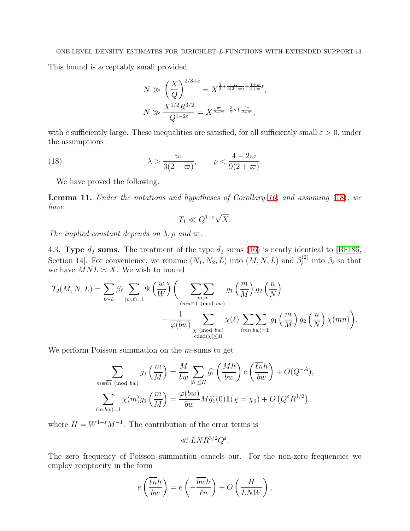This bound is acceptably small provided

$$
N \gg \left(\frac{X}{Q}\right)^{2/3+\varepsilon} = X^{\frac{1}{3} + \frac{\varpi}{3(2+\varpi)} + \frac{1+\varpi}{2+\varpi}\varepsilon},
$$
  

$$
N \gg \frac{X^{1/2}R^{3/2}}{Q^{1-2\varepsilon}} = X^{\frac{\varpi}{2+\varpi} + \frac{3}{2}\rho + \frac{2\varepsilon}{2+\varpi}},
$$

with c sufficiently large. These inequalities are satisfied, for all sufficiently small  $\varepsilon > 0$ , under the assumptions

(18) 
$$
\lambda > \frac{\varpi}{3(2+\varpi)}, \qquad \rho < \frac{4-2\varpi}{9(2+\varpi)}.
$$

We have proved the following.

<span id="page-12-1"></span>Lemma 11. *Under the notations and hypotheses of Corollary [10,](#page-10-1) and assuming* [\(18\)](#page-12-0)*, we have*

<span id="page-12-0"></span>
$$
T_1 \ll Q^{1-\varepsilon}\sqrt{X}.
$$

*The implied constant depends on*  $\lambda$ ,  $\rho$  *and*  $\varpi$ .

4.3. Type  $d_2$  sums. The treatment of the type  $d_2$  sums [\(16\)](#page-10-2) is nearly identical to [\[BFI86,](#page-20-9) Section 14]. For convenience, we rename  $(N_1, N_2, L)$  into  $(M, N, L)$  and  $\beta_{\ell}^{(2)}$  $\ell^{(2)}$  into  $\beta_{\ell}$  so that we have  $MNL \approx X$ . We wish to bound

$$
T_2(M, N, L) = \sum_{\ell \sim L} \beta_{\ell} \sum_{(w,\ell)=1} \Psi\left(\frac{w}{W}\right) \left(\sum_{\substack{mn=1 \pmod{bw} \\ \ell mn \equiv 1 \pmod{bw}}} g_1\left(\frac{m}{M}\right) g_2\left(\frac{n}{N}\right) - \frac{1}{\varphi(bw)} \sum_{\substack{\chi \pmod{bw} \\ \text{cond}(\chi) \le R}} \chi(\ell) \sum_{(mn,bw)=1} g_1\left(\frac{m}{M}\right) g_2\left(\frac{n}{N}\right) \chi(mn)\right).
$$

We perform Poisson summation on the *m*-sums to get

$$
\sum_{\substack{m\equiv \overline{\ell n} \pmod{bw}} g_1\left(\frac{m}{M}\right) = \frac{M}{bw} \sum_{|h| \le H} \widehat{g_1}\left(\frac{Mh}{bw}\right) e\left(\frac{\overline{\ell n}h}{bw}\right) + O(Q^{-A}),
$$
  

$$
\sum_{(m,bw)=1} \chi(m)g_1\left(\frac{m}{M}\right) = \frac{\varphi(bw)}{bw}M\widehat{g_1}(0)\mathbf{1}(\chi = \chi_0) + O\left(Q^{\varepsilon}R^{1/2}\right),
$$

where  $H = W^{1+\epsilon}M^{-1}$ . The contribution of the error terms is

$$
\ll LNR^{3/2}Q^{\varepsilon}.
$$

The zero frequency of Poisson summation cancels out. For the non-zero frequencies we employ reciprocity in the form

$$
e\left(\frac{\overline{\ell n}h}{bw}\right) = e\left(-\frac{\overline{bwh}}{\ell n}\right) + O\left(\frac{H}{LNW}\right),\,
$$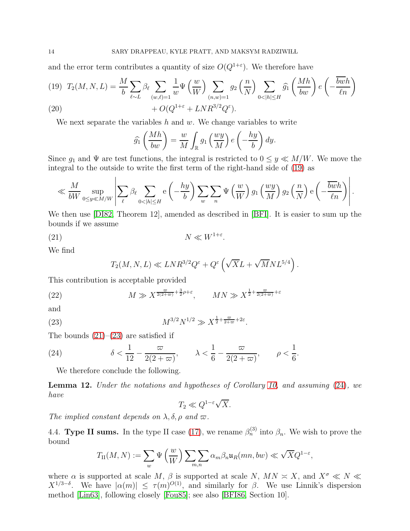and the error term contributes a quantity of size  $O(Q^{1+\epsilon})$ . We therefore have

<span id="page-13-0"></span>
$$
(19) \ T_2(M, N, L) = \frac{M}{b} \sum_{\ell \sim L} \beta_\ell \sum_{(w,\ell)=1} \frac{1}{w} \Psi\left(\frac{w}{W}\right) \sum_{(n,w)=1} g_2\left(\frac{n}{N}\right) \sum_{0<|h|\leq H} \widehat{g_1}\left(\frac{Mh}{bw}\right) e\left(-\frac{\overline{bw}h}{\ell n}\right)
$$
\n
$$
(20)
$$

(20) 
$$
+ O(Q^{1+\varepsilon} + LNR^{3/2}Q^{\varepsilon}).
$$

We next separate the variables h and  $w$ . We change variables to write

$$
\widehat{g_1}\left(\frac{Mh}{bw}\right) = \frac{w}{M} \int_{\mathbb{R}} g_1\left(\frac{wy}{M}\right) e\left(-\frac{hy}{b}\right) dy.
$$

Since  $g_1$  and  $\Psi$  are test functions, the integral is restricted to  $0 \leq y \ll M/W$ . We move the integral to the outside to write the first term of the right-hand side of [\(19\)](#page-13-0) as

$$
\ll \frac{M}{bW} \sup_{0 \le y \ll M/W} \left| \sum_{\ell} \beta_{\ell} \sum_{0 < |h| \le H} e\left(-\frac{hy}{b}\right) \sum_{w} \sum_{n} \Psi\left(\frac{w}{W}\right) g_1\left(\frac{wy}{M}\right) g_2\left(\frac{n}{N}\right) e\left(-\frac{\overline{bwh}}{\ell n}\right) \right|.
$$

We then use [\[DI82,](#page-20-11) Theorem 12], amended as described in [\[BFI\]](#page-20-15). It is easier to sum up the bounds if we assume

$$
(21) \t\t N \ll W^{1+\varepsilon}.
$$

We find

<span id="page-13-2"></span><span id="page-13-1"></span>
$$
T_2(M, N, L) \ll LNR^{3/2}Q^{\varepsilon} + Q^{\varepsilon}\left(\sqrt{X}L + \sqrt{M}NL^{5/4}\right).
$$

This contribution is acceptable provided

(22) 
$$
M \gg X^{\frac{\varpi}{2(2+\varpi)} + \frac{3}{2}\rho + \varepsilon}, \qquad MN \gg X^{\frac{1}{2} + \frac{\varpi}{2(2+\varpi)} + \varepsilon}
$$

and

(23) 
$$
M^{3/2}N^{1/2} \gg X^{\frac{1}{2} + \frac{\varpi}{2 + \varpi} + 2\varepsilon}.
$$

The bounds  $(21)–(23)$  $(21)–(23)$  are satisfied if

(24) 
$$
\delta < \frac{1}{12} - \frac{\varpi}{2(2+\varpi)}, \qquad \lambda < \frac{1}{6} - \frac{\varpi}{2(2+\varpi)}, \qquad \rho < \frac{1}{6}.
$$

<span id="page-13-3"></span>We therefore conclude the following.

<span id="page-13-4"></span>Lemma 12. *Under the notations and hypotheses of Corollary [10,](#page-10-1) and assuming* [\(24\)](#page-13-3)*, we have*

$$
T_2 \ll Q^{1-\varepsilon}\sqrt{X}.
$$

*The implied constant depends on*  $\lambda$ ,  $\delta$ ,  $\rho$  *and*  $\varpi$ .

4.4. Type II sums. In the type II case [\(17\)](#page-10-3), we rename  $\beta_n^{(3)}$  into  $\beta_n$ . We wish to prove the bound

$$
T_{\rm II}(M,N):=\sum_{w}\Psi\left(\frac{w}{W}\right)\sum_{m,n}\alpha_m\beta_n\mathfrak{u}_R(mn,bw)\ll \sqrt{X}Q^{1-\varepsilon},
$$

where  $\alpha$  is supported at scale M,  $\beta$  is supported at scale N,  $MN \approx X$ , and  $X^{\sigma} \ll N \ll Y$  $X^{1/3-\delta}$ . We have  $|\alpha(m)| \le \tau(m)^{O(1)}$ , and similarly for  $\beta$ . We use Linnik's dispersion method [\[Lin63\]](#page-21-9), following closely [\[Fou85\]](#page-20-8); see also [\[BFI86,](#page-20-9) Section 10].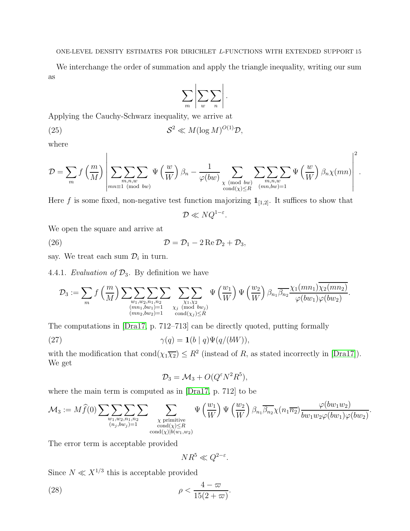We interchange the order of summation and apply the triangle inequality, writing our sum as

$$
\sum_{m}\left|\sum_{w}\sum_{n}\right|.
$$

Applying the Cauchy-Schwarz inequality, we arrive at

(25) 
$$
S^2 \ll M(\log M)^{O(1)}\mathcal{D},
$$

where

$$
\mathcal{D} = \sum_{m} f\left(\frac{m}{M}\right) \left| \sum_{\substack{m,n,w \\ mn \equiv 1 \pmod{bw}}} \sum_{\psi \left(\frac{w}{W}\right) \beta_n} - \frac{1}{\varphi(bw)} \sum_{\substack{\chi \pmod{bw} \\ \text{cond}(\chi) \leq R}} \sum_{\substack{m,n,w \\ (mn,bw)=1}} \sum_{\psi \left(\frac{w}{W}\right) \beta_n \chi(mn)} \right|^2.
$$

Here f is some fixed, non-negative test function majorizing  $\mathbf{1}_{[1,2]}$ . It suffices to show that

$$
\mathcal{D}\ll NQ^{1-\varepsilon}.
$$

We open the square and arrive at

 $\mathbf{r}$ 

(26) 
$$
\mathcal{D} = \mathcal{D}_1 - 2 \operatorname{Re} \mathcal{D}_2 + \mathcal{D}_3,
$$

say. We treat each sum  $\mathcal{D}_i$  in turn.

4.4.1. *Evaluation of*  $\mathcal{D}_3$ . By definition we have

$$
\mathcal{D}_3 := \sum_m f\left(\frac{m}{M}\right) \sum_{\substack{w_1, w_2, n_1, n_2 \ (mn_1, bw_1) = 1 \ (mn_1, bw_1) = 1}} \sum_{\substack{\chi_1, \chi_2 \ \chi_2 \ (\text{mod } bw_j) \\ \chi_j \ (\text{mod } bw_j) \leq R}} \Psi\left(\frac{w_1}{W}\right) \Psi\left(\frac{w_2}{W}\right) \beta_{n_1} \overline{\beta_{n_2}} \frac{\chi_1(mn_1) \chi_2(mn_2)}{\varphi(bw_1) \varphi(bw_2)}.
$$

The computations in [\[Dra17,](#page-20-14) p. 712–713] can be directly quoted, putting formally

(27) 
$$
\gamma(q) = \mathbf{1}(b \mid q)\Psi(q/(bW)),
$$

with the modification that  $\text{cond}(\chi_1\overline{\chi_2}) \leq R^2$  (instead of R, as stated incorrectly in [\[Dra17\]](#page-20-14)). We get

<span id="page-14-0"></span>
$$
\mathcal{D}_3 = \mathcal{M}_3 + O(Q^{\varepsilon} N^2 R^5),
$$

where the main term is computed as in [\[Dra17,](#page-20-14) p. 712] to be

$$
\mathcal{M}_3 := M\widehat{f}(0) \sum \sum \limits_{\substack{w_1, w_2, n_1, n_2 \\ (n_j, bw_j) = 1}} \sum \limits_{\substack{\chi \text{ primitive} \\ \operatorname{cond}(\chi) \leq R \\ \operatorname{cond}(\chi) | b(w_1, w_2)}} \Psi\left(\frac{w_1}{W}\right) \Psi\left(\frac{w_2}{W}\right) \beta_{n_1} \overline{\beta_{n_2}} \chi(n_1 \overline{n_2}) \frac{\varphi(bw_1 w_2)}{bw_1 w_2 \varphi(bw_1) \varphi(bw_2)}.
$$

The error term is acceptable provided

<span id="page-14-1"></span>
$$
NR^5 \ll Q^{2-\varepsilon}.
$$

Since  $N \ll X^{1/3}$  this is acceptable provided

(28) 
$$
\rho < \frac{4-\varpi}{15(2+\varpi)}.
$$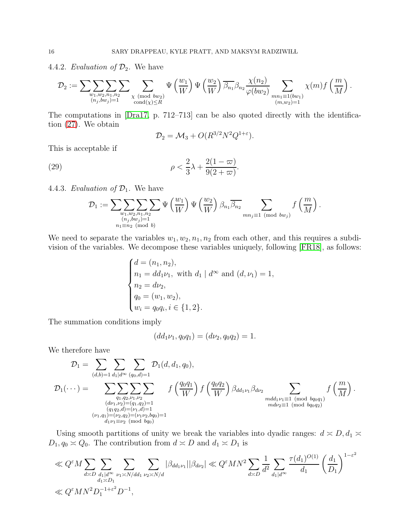4.4.2. *Evaluation of*  $\mathcal{D}_2$ . We have

$$
\mathcal{D}_2 := \sum \sum \limits_{\substack{w_1, w_2, n_1, n_2 \\ (n_j, bw_j) = 1}} \sum \sum \limits_{\substack{\chi \pmod{bw_2} \\ \text{cond}(\chi) \leq R}} \Psi \left( \frac{w_1}{W} \right) \Psi \left( \frac{w_2}{W} \right) \overline{\beta_{n_1}} \beta_{n_2} \frac{\chi(n_2)}{\varphi(bw_2)} \sum \limits_{\substack{mn_1 \equiv 1(bw_1) \\ (m, w_2) = 1}} \chi(m) f \left( \frac{m}{M} \right).
$$

The computations in [\[Dra17,](#page-20-14) p. 712–713] can be also quoted directly with the identification [\(27\)](#page-14-0). We obtain

<span id="page-15-0"></span>
$$
\mathcal{D}_2 = \mathcal{M}_3 + O(R^{3/2}N^2Q^{1+\epsilon}).
$$

This is acceptable if

(29) 
$$
\rho < \frac{2}{3}\lambda + \frac{2(1-\varpi)}{9(2+\varpi)}.
$$

4.4.3. *Evaluation of*  $\mathcal{D}_1$ . We have

$$
\mathcal{D}_1 := \sum_{\substack{w_1, w_2, n_1, n_2 \\ (n_j, bw_j) = 1 \\ n_1 \equiv n_2 \pmod{b}}} \Psi\left(\frac{w_1}{W}\right) \Psi\left(\frac{w_2}{W}\right) \beta_{n_1} \overline{\beta_{n_2}} \sum_{mn_j \equiv 1 \pmod{bw_j}} f\left(\frac{m}{M}\right).
$$

We need to separate the variables  $w_1, w_2, n_1, n_2$  from each other, and this requires a subdivision of the variables. We decompose these variables uniquely, following [\[FR18\]](#page-20-18), as follows:

$$
\begin{cases}\nd = (n_1, n_2), \\
n_1 = dd_1 \nu_1, \text{ with } d_1 \mid d^\infty \text{ and } (d, \nu_1) = 1, \\
n_2 = d\nu_2, \\
q_0 = (w_1, w_2), \\
w_i = q_0 q_i, i \in \{1, 2\}.\n\end{cases}
$$

The summation conditions imply

$$
(dd_1\nu_1, q_0q_1) = (d\nu_2, q_0q_2) = 1.
$$

We therefore have

$$
\mathcal{D}_{1} = \sum_{(d,b)=1} \sum_{d_{1} | d^{\infty}} \sum_{(q_{0},d)=1} \mathcal{D}_{1}(d,d_{1},q_{0}),
$$
\n
$$
\mathcal{D}_{1}(\cdots) = \sum_{\substack{q_{1},q_{2},\nu_{1},\nu_{2} \\ (d\nu_{1},\nu_{2})=(q_{1},q_{2})=1 \\ (q_{1}q_{2},d)=(\nu_{1},d)=1 \\ (p_{1},q_{1})=(\nu_{2},q_{2})=(\nu_{1}\nu_{2},bq_{0})=1}} f\left(\frac{q_{0}q_{1}}{W}\right) f\left(\frac{q_{0}q_{2}}{W}\right) \beta_{dd_{1}\nu_{1}} \beta_{d\nu_{2}} \sum_{\substack{mdd_{1}\nu_{1}\equiv 1 \pmod{bq_{0}q_{1}} \\ mdd_{1}\nu_{1}\equiv 1 \pmod{bq_{0}q_{2}}}} f\left(\frac{m}{M}\right).
$$

Using smooth partitions of unity we break the variables into dyadic ranges:  $d \approx D, d_1 \approx$  $D_1, q_0 \simeq Q_0$ . The contribution from  $d \simeq D$  and  $d_1 \simeq D_1$  is

$$
\ll Q^{\varepsilon} M \sum_{d \asymp D} \sum_{\substack{d_1 | d^{\infty} \\ d_1 \asymp D_1}} \sum_{\nu_1 \asymp N/dd_1} \sum_{\nu_2 \asymp N/d} |\beta_{dd_1 \nu_1}| |\beta_{d\nu_2}| \ll Q^{\varepsilon} M N^2 \sum_{d \asymp D} \frac{1}{d^2} \sum_{d_1 | d^{\infty}} \frac{\tau(d_1)^{O(1)}}{d_1} \left(\frac{d_1}{D_1}\right)^{1-\varepsilon^2} \ll Q^{\varepsilon} M N^2 D_1^{-1+\varepsilon^2} D^{-1},
$$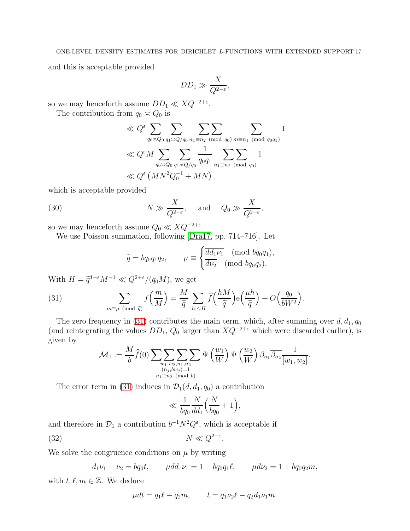and this is acceptable provided

$$
DD_1 \gg \frac{X}{Q^{2-\varepsilon}},
$$

so we may henceforth assume  $DD_1 \ll XQ^{-2+\varepsilon}$ .

The contribution from  $q_0 \approx Q_0$  is

$$
\ll Q^{\varepsilon} \sum_{q_0 \asymp Q_0} \sum_{q_1 \asymp Q/q_0} \sum_{n_1 \equiv n_2 \pmod{q_0}} \sum_{m \equiv \overline{n_1}} \sum_{(\text{mod } q_0 q_1)} 1
$$
  
\$\ll Q^{\varepsilon} M \sum\_{q\_0 \asymp Q\_0} \sum\_{q\_1 \asymp Q/q\_0} \frac{1}{q\_0 q\_1} \sum\_{n\_1 \equiv n\_2 \pmod{q\_0}} 1  
\$\ll Q^{\varepsilon} (MN^2 Q\_0^{-1} + MN),\$

which is acceptable provided

(30) 
$$
N \gg \frac{X}{Q^{2-\varepsilon}}
$$
, and  $Q_0 \gg \frac{X}{Q^{2-\varepsilon}}$ ,

so we may henceforth assume  $Q_0 \ll X Q^{-2+\varepsilon}$ .

We use Poisson summation, following [\[Dra17,](#page-20-14) pp. 714–716]. Let

<span id="page-16-2"></span><span id="page-16-0"></span>
$$
\widetilde{q} = bq_0q_1q_2, \qquad \mu \equiv \begin{cases} \overline{dd_1\nu_1} \pmod{bq_0q_1}, \\ \overline{d\nu_2} \pmod{bq_0q_2}. \end{cases}
$$

With  $H = \tilde{q}^{1+\varepsilon} M^{-1} \ll Q^{2+\varepsilon}/(q_0 M)$ , we get

(31) 
$$
\sum_{m \equiv \mu \pmod{\tilde{q}}} f\left(\frac{m}{M}\right) = \frac{M}{\tilde{q}} \sum_{|h| \le H} \widehat{f}\left(\frac{hM}{\tilde{q}}\right) e\left(\frac{\mu h}{\tilde{q}}\right) + O\left(\frac{q_0}{bW^2}\right).
$$

The zero frequency in [\(31\)](#page-16-0) contributes the main term, which, after summing over  $d, d_1, q_0$ (and reintegrating the values  $DD_1$ ,  $Q_0$  larger than  $XQ^{-2+\epsilon}$  which were discarded earlier), is given by

$$
\mathcal{M}_1 := \frac{M}{b} \widehat{f}(0) \sum_{\substack{w_1, w_2, n_1, n_2 \\ (n_j, bw_j) = 1 \\ n_1 \equiv n_2 \pmod{b}}} \Psi\left(\frac{w_1}{W}\right) \Psi\left(\frac{w_2}{W}\right) \beta_{n_1} \overline{\beta_{n_2}} \frac{1}{[w_1, w_2]}.
$$

The error term in [\(31\)](#page-16-0) induces in  $\mathcal{D}_1(d, d_1, q_0)$  a contribution

<span id="page-16-1"></span>
$$
\ll \frac{1}{bq_0}\frac{N}{dd_1}\Big(\frac{N}{bq_0}+1\Big),\,
$$

and therefore in  $\mathcal{D}_1$  a contribution  $b^{-1}N^2Q^{\varepsilon}$ , which is acceptable if

$$
(32) \t\t\t N \ll Q^{2-\varepsilon}.
$$

We solve the congruence conditions on  $\mu$  by writing

$$
d_1\nu_1 - \nu_2 = bq_0t
$$
,  $\mu dd_1\nu_1 = 1 + bq_0q_1\ell$ ,  $\mu d\nu_2 = 1 + bq_0q_2m$ ,

with  $t, \ell, m \in \mathbb{Z}$ . We deduce

$$
\mu dt = q_1 \ell - q_2 m, \qquad t = q_1 \nu_2 \ell - q_2 d_1 \nu_1 m.
$$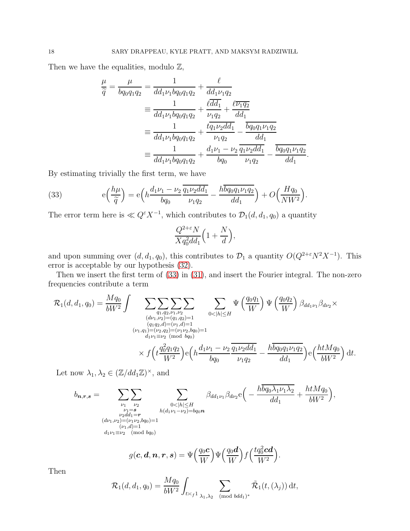Then we have the equalities, modulo  $\mathbb{Z}$ ,

$$
\frac{\mu}{\tilde{q}} = \frac{\mu}{b q_0 q_1 q_2} = \frac{1}{d d_1 \nu_1 b q_0 q_1 q_2} + \frac{\ell}{d d_1 \nu_1 q_2}
$$
\n
$$
\equiv \frac{1}{d d_1 \nu_1 b q_0 q_1 q_2} + \frac{\ell \overline{d d_1}}{\nu_1 q_2} + \frac{\ell \overline{\nu_1 q_2}}{d d_1}
$$
\n
$$
\equiv \frac{1}{d d_1 \nu_1 b q_0 q_1 q_2} + \frac{\ell q_1 \nu_2 d d_1}{\nu_1 q_2} - \frac{\overline{b q_0 q_1 \nu_1 q_2}}{d d_1}
$$
\n
$$
\equiv \frac{1}{d d_1 \nu_1 b q_0 q_1 q_2} + \frac{d_1 \nu_1 - \nu_2}{b q_0} \frac{\overline{q_1 \nu_2 d d_1}}{\nu_1 q_2} - \frac{\overline{b q_0 q_1 \nu_1 q_2}}{d d_1}
$$

.

By estimating trivially the first term, we have

<span id="page-17-0"></span>(33) 
$$
e\left(\frac{h\mu}{\widetilde{q}}\right) = e\left(h\frac{d_1\nu_1 - \nu_2}{bq_0}\frac{\overline{q_1\nu_2dd_1}}{\nu_1q_2} - \frac{h\overline{bq_0q_1\nu_1q_2}}{dd_1}\right) + O\left(\frac{Hq_0}{NW^2}\right).
$$

The error term here is  $\ll Q^{\varepsilon} X^{-1}$ , which contributes to  $\mathcal{D}_1(d, d_1, q_0)$  a quantity

$$
\frac{Q^{2+\varepsilon}N}{Xq_0^2dd_1}\Big(1+\frac{N}{d}\Big),\,
$$

and upon summing over  $(d, d_1, q_0)$ , this contributes to  $\mathcal{D}_1$  a quantity  $O(Q^{2+\epsilon}N^2X^{-1})$ . This error is acceptable by our hypothesis [\(32\)](#page-16-1).

Then we insert the first term of [\(33\)](#page-17-0) in [\(31\)](#page-16-0), and insert the Fourier integral. The non-zero frequencies contribute a term

$$
\mathcal{R}_{1}(d, d_{1}, q_{0}) = \frac{Mq_{0}}{bW^{2}} \int \sum_{\substack{(d\nu_{1}, \nu_{2}) = (q_{1}, q_{2}) = 1 \ (d\nu_{1}, \nu_{2}) = (q_{1}, q_{2}) = 1 \ (b\nu_{1}, q_{1}) = (\nu_{2}, q_{2}) = (\nu_{1}, d) = 1 \ (b\nu_{1}, q_{1}) = (\nu_{2}, q_{2}) = (\nu_{1}\nu_{2}, bq_{0}) = 1 \ \times \int_{0}^{2} \left( \frac{q_{0}^{2}q_{1}q_{2}}{W^{2}} \right) e\left( h \frac{d_{1}\nu_{1} - \nu_{2}}{bq_{0}} \frac{q_{1}\nu_{2}d d_{1}}{\nu_{1}q_{2}} - \frac{h\overline{b}q_{0}q_{1}\nu_{1}q_{2}}{d d_{1}} \right) e\left( \frac{h t M q_{0}}{bW^{2}} \right) dt.
$$

Let now  $\lambda_1, \lambda_2 \in (\mathbb{Z}/dd_1\mathbb{Z})^{\times}$ , and

$$
b_{n,r,s} = \sum_{\substack{\nu_1 \ \nu_2 \\ \nu_1 = s \\ \nu_2 d d_1 = r \\ (d\nu_1,\nu_2) = (\nu_1\nu_2, bq_0) = 1 \\ (l_1, d) = 1}} \sum_{\substack{0 < |h| \le H \\ h(d_1\nu_1 - \nu_2) = bq_0n \\ \nu_1 d_1 = \nu_2 \pmod{bq_0}}} \beta_{dd_1\nu_1} \beta_{d\nu_2} e\left(-\frac{hbq_0\lambda_1\nu_1\lambda_2}{dd_1} + \frac{htMq_0}{bW^2}\right),
$$

$$
g(\boldsymbol{c},\boldsymbol{d},\boldsymbol{n},\boldsymbol{r},\boldsymbol{s})=\Psi\Big(\frac{q_0\boldsymbol{c}}{W}\Big)\Psi\Big(\frac{q_0\boldsymbol{d}}{W}\Big)f\Big(\frac{tq_0^2\boldsymbol{c}\boldsymbol{d}}{W^2}\Big)
$$

.

Then

$$
\mathcal{R}_1(d, d_1, q_0) = \frac{Mq_0}{bW^2} \int_{t \asymp f^1} \sum_{\lambda_1, \lambda_2 \pmod{bdd_1}^*} \tilde{\mathcal{R}}_1(t, (\lambda_j)) dt,
$$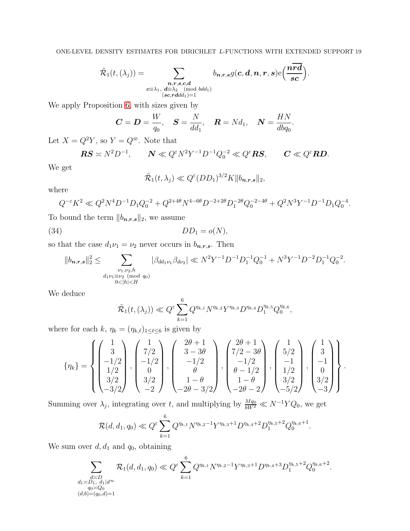$$
\tilde{\mathcal{R}}_1(t,(\lambda_j))=\sum_{\substack{\boldsymbol n,\boldsymbol r,\boldsymbol s,\boldsymbol c,\boldsymbol d \\ \boldsymbol c\equiv\lambda_1,\text{ } \boldsymbol d\equiv \lambda_2\pmod{bdd_1}\\ (\boldsymbol s\boldsymbol c,\boldsymbol r\boldsymbol d d d_1)=1}}b_{\boldsymbol n,\boldsymbol r,\boldsymbol s}g(\boldsymbol c,\boldsymbol d,\boldsymbol n,\boldsymbol r,\boldsymbol s)\mathrm{e}\bigg(\frac{\boldsymbol n\overline{\boldsymbol r\boldsymbol d}}{\boldsymbol s\boldsymbol c}\bigg).
$$

We apply Proposition [6,](#page-7-0) with sizes given by

$$
C = D = \frac{W}{q_0}, \quad S = \frac{N}{dd_1}, \quad R = Nd_1, \quad N = \frac{HN}{dbq_0}.
$$

Let  $X=Q^2Y,$  so  $Y=Q^{\varpi}.$  Note that

$$
RS \asymp N^2 D^{-1}, \qquad N \ll Q^{\varepsilon} N^2 Y^{-1} D^{-1} Q_0^{-2} \ll Q^{\varepsilon} RS, \qquad C \ll Q^{\varepsilon} RD.
$$

We get

<span id="page-18-0"></span>
$$
\tilde{\mathcal{R}}_1(t,\lambda_j) \ll Q^{\varepsilon}(DD_1)^{3/2}K \Vert b_{n,r,s} \Vert_2,
$$

where

$$
Q^{-\varepsilon} K^2 \ll Q^2 N^4 D^{-1} D_1 Q_0^{-2} + Q^{2+4\theta} N^{4-6\theta} D^{-2+2\theta} D_1^{-2\theta} Q_0^{-2-4\theta} + Q^2 N^3 Y^{-1} D^{-1} D_1 Q_0^{-4}.
$$

To bound the term  $\|b_{n,r,s}\|_2,$  we assume

$$
(34) \t\t DD1 = o(N),
$$

so that the case  $d_1 \nu_1 = \nu_2$  never occurs in  $b_{n,r,s}$ . Then

$$
||b_{n,r,s}||_2^2 \leq \sum_{\substack{\nu_1,\nu_2,h\\ d_1\nu_1 \equiv \nu_2 \pmod{q_0}\\ 0<|h|
$$

We deduce

$$
\tilde{\mathcal{R}}_1(t,(\lambda_j)) \ll Q^{\varepsilon} \sum_{k=1}^6 Q^{\eta_{k,1}} N^{\eta_{k,2}} Y^{\eta_{k,3}} D^{\eta_{k,4}} D_1^{\eta_{k,5}} Q_0^{\eta_{k,6}},
$$

where for each  $k, \eta_k = (\eta_{k,\ell})_{1 \leq \ell \leq 6}$  is given by

$$
\{\eta_k\} = \begin{Bmatrix} \begin{pmatrix} 1 \\ 3 \\ -1/2 \\ 1/2 \\ 3/2 \\ -3/2 \end{pmatrix}, \begin{pmatrix} 1 \\ 7/2 \\ -1/2 \\ 0 \\ 3/2 \\ -2 \end{pmatrix}, \begin{pmatrix} 2\theta + 1 \\ 3 - 3\theta \\ -1/2 \\ \theta \\ 1 - \theta \\ -2\theta - 3/2 \end{pmatrix}, \begin{pmatrix} 2\theta + 1 \\ 7/2 - 3\theta \\ -1/2 \\ \theta - 1/2 \\ 1 - \theta \\ 1 - \theta \\ -2\theta - 2 \end{pmatrix}, \begin{pmatrix} 1 \\ 5/2 \\ -1 \\ 1/2 \\ 3/2 \\ -5/2 \end{pmatrix}, \begin{pmatrix} 1 \\ 3 \\ -1 \\ 0 \\ 3/2 \\ -3 \end{pmatrix} \end{Bmatrix}.
$$

Summing over  $\lambda_j$ , integrating over t, and multiplying by  $\frac{Mq_0}{bW^2} \ll N^{-1}YQ_0$ , we get

$$
\mathcal{R}(d, d_1, q_0) \ll Q^{\varepsilon} \sum_{k=1}^6 Q^{\eta_{k,1}} N^{\eta_{k,2}-1} Y^{\eta_{k,3}+1} D^{\eta_{k,4}+2} D_1^{\eta_{k,5}+2} Q_0^{\eta_{k,6}+1}.
$$

We sum over  $d, d_1$  and  $q_0$ , obtaining

$$
\sum_{\substack{d \ge D_1, d_1 | d^{\infty} \\ a_0 \ge Q_0 \\ (d,b)=(q_0,d)=1}} \mathcal{R}_1(d,d_1,q_0) \ll Q^{\varepsilon} \sum_{k=1}^6 Q^{\eta_{k,1}} N^{\eta_{k,2}-1} Y^{\eta_{k,3}+1} D^{\eta_{k,4}+3} D_1^{\eta_{k,5}+2} Q_0^{\eta_{k,6}+2}.
$$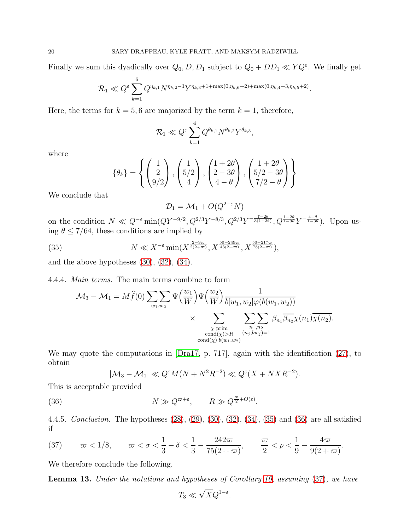Finally we sum this dyadically over  $Q_0$ ,  $D$ ,  $D_1$  subject to  $Q_0 + DD_1 \ll YQ^{\varepsilon}$ . We finally get

$$
\mathcal{R}_1 \ll Q^{\varepsilon} \sum_{k=1}^6 Q^{\eta_{k,1}} N^{\eta_{k,2}-1} Y^{\eta_{k,3}+1+\max(0,\eta_{k,6}+2)+\max(0,\eta_{k,4}+3,\eta_{k,5}+2)}
$$

.

.

Here, the terms for  $k = 5, 6$  are majorized by the term  $k = 1$ , therefore,

$$
\mathcal{R}_1 \ll Q^{\varepsilon} \sum_{k=1}^4 Q^{\theta_{k,1}} N^{\theta_{k,2}} Y^{\theta_{k,3}},
$$

where

$$
\{\theta_k\} = \left\{ \begin{pmatrix} 1 \\ 2 \\ 9/2 \end{pmatrix}, \begin{pmatrix} 1 \\ 5/2 \\ 4 \end{pmatrix}, \begin{pmatrix} 1+2\theta \\ 2-3\theta \\ 4-\theta \end{pmatrix}, \begin{pmatrix} 1+2\theta \\ 5/2-3\theta \\ 7/2-\theta \end{pmatrix} \right\}
$$

We conclude that

<span id="page-19-0"></span>
$$
\mathcal{D}_1 = \mathcal{M}_1 + O(Q^{2-\epsilon}N)
$$

on the condition  $N \ll Q^{-\varepsilon} \min(QY^{-9/2}, Q^{2/3}Y^{-8/3}, Q^{2/3}Y^{-\frac{7-2\theta}{3(1-2\theta)}}, Q^{\frac{1-2\theta}{1-3\theta}}Y^{-\frac{4-\theta}{1-3\theta}})$ . Upon using  $\theta \leq 7/64$ , these conditions are implied by

(35) 
$$
N \ll X^{-\varepsilon} \min(X^{\frac{2-9\varpi}{2(2+\varpi)}}, X^{\frac{50-249\varpi}{43(2+\varpi)}}, X^{\frac{50-217\varpi}{75(2+\varpi)}}),
$$

and the above hypotheses  $(30)$ ,  $(32)$ ,  $(34)$ .

4.4.4. *Main terms.* The main terms combine to form

$$
\mathcal{M}_{3} - \mathcal{M}_{1} = M \widehat{f}(0) \sum_{w_{1},w_{2}} \sum \Psi\left(\frac{w_{1}}{W}\right) \Psi\left(\frac{w_{2}}{W}\right) \frac{1}{b[w_{1},w_{2}]\varphi(b(w_{1},w_{2}))}
$$

$$
\times \sum_{\substack{\chi \text{ prim}\\ \text{cond}(\chi) > R}} \sum_{\substack{n_{1},n_{2}\\(n_{j},bw_{j})=1}} \beta_{n_{1}} \overline{\beta_{n_{2}}} \chi(n_{1}) \overline{\chi(n_{2})}.
$$

We may quote the computations in [\[Dra17,](#page-20-14) p. 717], again with the identification [\(27\)](#page-14-0), to obtain

<span id="page-19-1"></span>
$$
|\mathcal{M}_3 - \mathcal{M}_1| \ll Q^{\varepsilon} M(N + N^2 R^{-2}) \ll Q^{\varepsilon} (X + N X R^{-2}).
$$

This is acceptable provided

(36)  $N \gg Q^{\varpi + \varepsilon}, \qquad R \gg Q^{\frac{\varpi}{2} + O(\varepsilon)}.$ 

4.4.5. *Conclusion.* The hypotheses [\(28\)](#page-14-1), [\(29\)](#page-15-0), [\(30\)](#page-16-2), [\(32\)](#page-16-1), [\(34\)](#page-18-0), [\(35\)](#page-19-0) and [\(36\)](#page-19-1) are all satisfied if

<span id="page-19-2"></span>(37) 
$$
\varpi < 1/8
$$
,  $\varpi < \sigma < \frac{1}{3} - \delta < \frac{1}{3} - \frac{242\varpi}{75(2+\varpi)}$ ,  $\frac{\varpi}{2} < \rho < \frac{1}{9} - \frac{4\varpi}{9(2+\varpi)}$ 

We therefore conclude the following.

<span id="page-19-3"></span>Lemma 13. *Under the notations and hypotheses of Corollary [10,](#page-10-1) assuming* [\(37\)](#page-19-2)*, we have*

$$
T_3 \ll \sqrt{X} Q^{1-\varepsilon}.
$$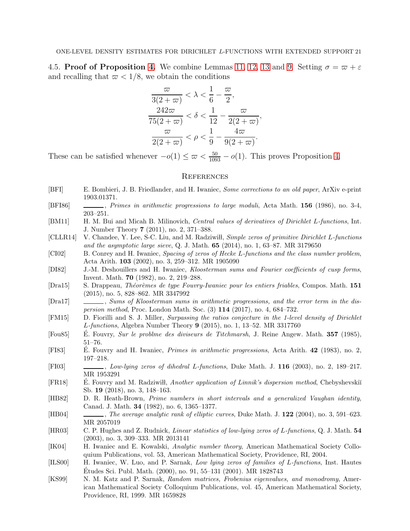4.5. Proof of Proposition [4.](#page-4-3) We combine Lemmas [11,](#page-12-1) [12,](#page-13-4) [13](#page-19-3) and [9.](#page-9-0) Setting  $\sigma = \varpi + \varepsilon$ and recalling that  $\omega$  < 1/8, we obtain the conditions

$$
\frac{\varpi}{3(2+\varpi)} < \lambda < \frac{1}{6} - \frac{\varpi}{2},
$$
\n
$$
\frac{242\varpi}{75(2+\varpi)} < \delta < \frac{1}{12} - \frac{\varpi}{2(2+\varpi)},
$$
\n
$$
\frac{\varpi}{2(2+\varpi)} < \rho < \frac{1}{9} - \frac{4\varpi}{9(2+\varpi)}.
$$

These can be satisfied whenever  $-o(1) \leq \varpi < \frac{50}{1093} - o(1)$ . This proves Proposition [4.](#page-4-3)

### **REFERENCES**

- <span id="page-20-15"></span>[BFI] E. Bombieri, J. B. Friedlander, and H. Iwaniec, Some corrections to an old paper, ArXiv e-print 1903.01371.
- <span id="page-20-9"></span>[BFI86] , Primes in arithmetic progressions to large moduli, Acta Math. 156 (1986), no. 3-4, 203–251.
- <span id="page-20-13"></span>[BM11] H. M. Bui and Micah B. Milinovich, Central values of derivatives of Dirichlet L-functions, Int. J. Number Theory 7 (2011), no. 2, 371–388.
- <span id="page-20-6"></span>[CLLR14] V. Chandee, Y. Lee, S-C. Liu, and M. Radziwith, Simple zeros of primitive Dirichlet L-functions and the asymptotic large sieve, Q. J. Math.  $65$  (2014), no. 1, 63–87. MR 3179650
- <span id="page-20-0"></span>[CI02] B. Conrey and H. Iwaniec, Spacing of zeros of Hecke L-functions and the class number problem, Acta Arith. 103 (2002), no. 3, 259–312. MR 1905090
- <span id="page-20-11"></span>[DI82] J.-M. Deshouillers and H. Iwaniec, Kloosterman sums and Fourier coefficients of cusp forms, Invent. Math. 70 (1982), no. 2, 219–288.
- <span id="page-20-10"></span>[Dra15] S. Drappeau, Théorèmes de type Fouvry-Iwaniec pour les entiers friables, Compos. Math. 151 (2015), no. 5, 828–862. MR 3347992
- <span id="page-20-14"></span>[Dra17] , Sums of Kloosterman sums in arithmetic progressions, and the error term in the dispersion method, Proc. London Math. Soc. (3) 114 (2017), no. 4, 684–732.
- <span id="page-20-7"></span>[FM15] D. Fiorilli and S. J. Miller, Surpassing the ratios conjecture in the 1-level density of Dirichlet L-functions, Algebra Number Theory 9 (2015), no. 1, 13–52. MR 3317760
- <span id="page-20-8"></span>[Fou85] E. Fouvry, Sur le problme des diviseurs de Titchmarsh, J. Reine Angew. Math. 357 (1985), 51–76.
- <span id="page-20-16"></span>[FI83] E. Fouvry and H. Iwaniec, *Primes in arithmetic progressions*, Acta Arith. 42 (1983), no. 2, 197–218.
- <span id="page-20-4"></span>[FI03] , Low-lying zeros of dihedral L-functions, Duke Math. J. 116 (2003), no. 2, 189–217. MR 1953291
- <span id="page-20-18"></span>[FR18] E. Fouvry and M. Radziwiłł, *Another application of Linnik's dispersion method*, Chebyshevskiĭ Sb. 19 (2018), no. 3, 148–163.
- <span id="page-20-17"></span>[HB82] D. R. Heath-Brown, Prime numbers in short intervals and a generalized Vaughan identity, Canad. J. Math. 34 (1982), no. 6, 1365–1377.
- <span id="page-20-1"></span>[HB04] , The average analytic rank of elliptic curves, Duke Math. J. 122 (2004), no. 3, 591–623. MR 2057019
- <span id="page-20-5"></span>[HR03] C. P. Hughes and Z. Rudnick, Linear statistics of low-lying zeros of L-functions, Q. J. Math. 54 (2003), no. 3, 309–333. MR 2013141
- <span id="page-20-12"></span>[IK04] H. Iwaniec and E. Kowalski, Analytic number theory, American Mathematical Society Colloquium Publications, vol. 53, American Mathematical Society, Providence, RI, 2004.
- <span id="page-20-3"></span>[ILS00] H. Iwaniec, W. Luo, and P. Sarnak, Low lying zeros of families of L-functions, Inst. Hautes Etudes Sci. Publ. Math.  $(2000)$ , no. 91, 55–131  $(2001)$ . MR 1828743
- <span id="page-20-2"></span>[KS99] N. M. Katz and P. Sarnak, Random matrices, Frobenius eigenvalues, and monodromy, American Mathematical Society Colloquium Publications, vol. 45, American Mathematical Society, Providence, RI, 1999. MR 1659828